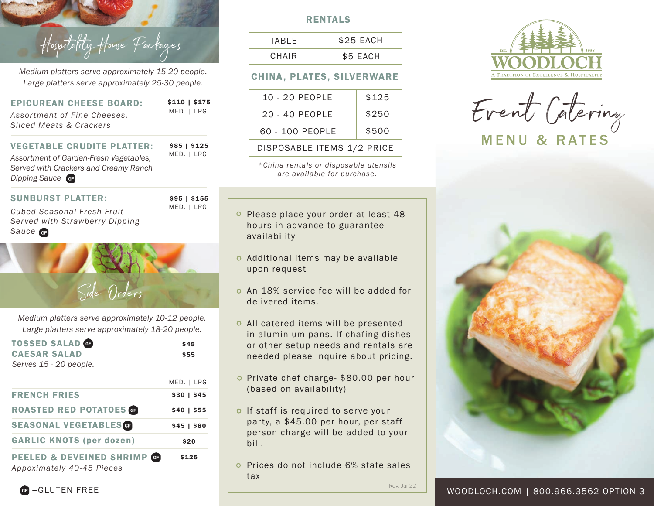

*Medium platters serve approximately 15-20 people. Large platters serve approximately 25-30 people.*

| <b>EPICUREAN CHEESE BOARD:</b><br>Assortment of Fine Cheeses,<br>Sliced Meats & Crackers | \$110   \$175<br>MED.   LRG. |
|------------------------------------------------------------------------------------------|------------------------------|
| <b>VEGETABLE CRUDITE PLATTER:</b>                                                        | $$85$   \$125                |
| Assortment of Garden-Fresh Vegetables,                                                   | MED.   LRG.                  |

*Served with Crackers and Creamy Ranch Dipping Sauce*

### SUNBURST PLATTER:

*Cubed Seasonal Fresh Fruit Served with Strawberry Dipping Sauce*



\$95 | \$155

# Side Orders

*Medium platters serve approximately 10-12 people. Large platters serve approximately 18-20 people.*

| <b>TOSSED SALAD GE</b><br><b>CAESAR SALAD</b><br>Serves 15 - 20 people. | \$45<br>\$55   |
|-------------------------------------------------------------------------|----------------|
|                                                                         | MED.   LRG.    |
| <b>FRENCH FRIES</b>                                                     | $$30 \mid $45$ |
| <b>ROASTED RED POTATOES GE</b>                                          | $$40$   \$55   |
| <b>SEASONAL VEGETABLESGE</b>                                            | $$45$   \$80   |
| <b>GARLIC KNOTS (per dozen)</b>                                         | \$20           |
| <b>PEELED &amp; DEVEINED SHRIMP GP</b><br>Appoximately 40-45 Pieces     | \$125          |

## RENTALS

| TARIF. | \$25 EACH |
|--------|-----------|
| CHAIR  | \$5 EACH  |

# CHINA, PLATES, SILVERWARE

| $10 - 20$ PEOPLE           | \$125 |
|----------------------------|-------|
| 20 - 40 PEOPLE             | \$250 |
| 60 - 100 PEOPLE            | \$500 |
| DISPOSABLE ITEMS 1/2 PRICE |       |

*\*China rentals or disposable utensils are available for purchase.*

- o Please place your order at least 48 hours in advance to guarantee availability
- Additional items may be available upon request
- An 18% service fee will be added for delivered items.
- All catered items will be presented in aluminium pans. If chafing dishes or other setup needs and rentals are needed please inquire about pricing.
- o Private chef charge- \$80.00 per hour (based on availability)
- o If staff is required to serve your party, a \$45.00 per hour, per staff person charge will be added to your bill.
- o Prices do not include 6% state sales tax

Rev. Jan22



Event Catering MENU & RATES



 $\bigoplus$  =GLUTEN FREE